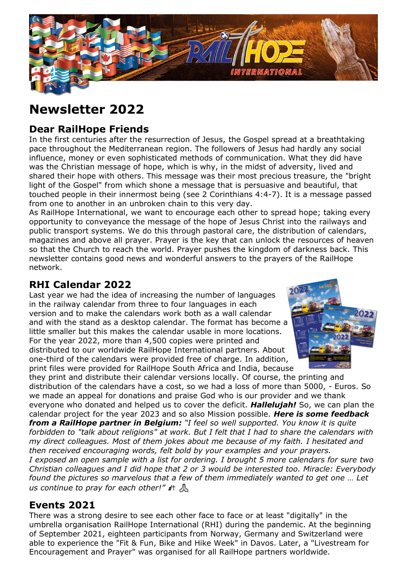

# **Newsletter 2022**

# **Dear RailHope Friends**

In the first centuries after the resurrection of Jesus, the Gospel spread at a breathtaking pace throughout the Mediterranean region. The followers of Jesus had hardly any social influence, money or even sophisticated methods of communication. What they did have was the Christian message of hope, which is why, in the midst of adversity, lived and shared their hope with others. This message was their most precious treasure, the "bright light of the Gospel" from which shone a message that is persuasive and beautiful, that touched people in their innermost being (see 2 Corinthians 4:4-7). It is a message passed from one to another in an unbroken chain to this very day.

As RailHope International, we want to encourage each other to spread hope; taking every opportunity to conveyance the message of the hope of Jesus Christ into the railways and public transport systems. We do this through pastoral care, the distribution of calendars, magazines and above all prayer. Prayer is the key that can unlock the resources of heaven so that the Church to reach the world. Prayer pushes the kingdom of darkness back. This newsletter contains good news and wonderful answers to the prayers of the RailHope network.

## **RHI Calendar 2022**

Last year we had the idea of increasing the number of languages in the railway calendar from three to four languages in each version and to make the calendars work both as a wall calendar and with the stand as a desktop calendar. The format has become a little smaller but this makes the calendar usable in more locations. For the year 2022, more than 4,500 copies were printed and distributed to our worldwide RailHope International partners. About one-third of the calendars were provided free of charge. In addition, print files were provided for RailHope South Africa and India, because



they print and distribute their calendar versions locally. Of course, the printing and distribution of the calendars have a cost, so we had a loss of more than 5000, - Euros. So we made an appeal for donations and praise God who is our provider and we thank everyone who donated and helped us to cover the deficit. *Hallelujah!* So, we can plan the calendar project for the year 2023 and so also Mission possible. *Here is some feedback from a RailHope partner in Belgium: "I feel so well supported. You know it is quite forbidden to "talk about religions" at work. But I felt that I had to share the calendars with my direct colleagues. Most of them jokes about me because of my faith. I hesitated and then received encouraging words, felt bold by your examples and your prayers. I exposed an open sample with a list for ordering. I brought 5 more calendars for sure two Christian colleagues and I did hope that 2 or 3 would be interested too. Miracle: Everybody found the pictures so marvelous that a few of them immediately wanted to get one … Let us continue to pray for each other!"* 針  $\Lambda$ 

## **Events 2021**

There was a strong desire to see each other face to face or at least "digitally" in the umbrella organisation RailHope International (RHI) during the pandemic. At the beginning of September 2021, eighteen participants from Norway, Germany and Switzerland were able to experience the "Fit & Fun, Bike and Hike Week" in Davos. Later, a "Livestream for Encouragement and Prayer" was organised for all RailHope partners worldwide.